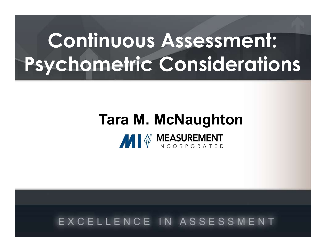# Continuous Assessment: Psychometric Considerations

# Tara M. McNaughton **MI**<sup><sup>®</sup> MEASUREMENT</sup>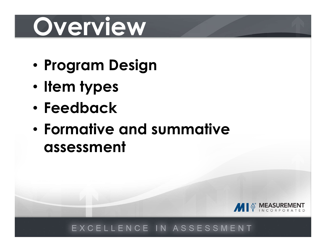# Overview

- Program Design
- Item types
- Feedback
- Formative and summative assessment

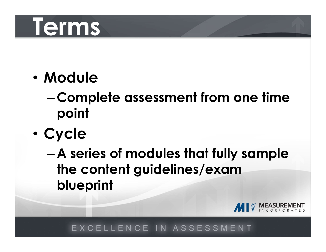# Terms

- Module
	- –Complete assessment from one time point
- Cycle
	- A series of modules that fully sample the content guidelines/exam blueprint

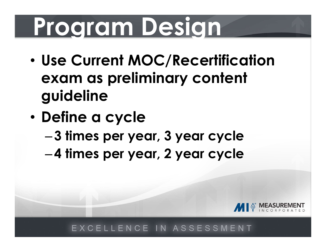# Program Design

- Use Current MOC/Recertification exam as preliminary content guideline
- Define a cycle
	- 3 times per year, 3 year cycle
	- 4 times per year, 2 year cycle

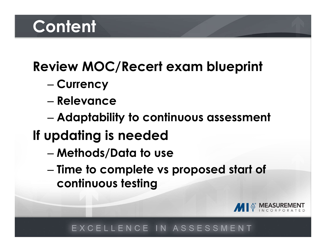# **Content**

# Review MOC/Recert exam blueprint – Currency

- 
- Relevance
- Adaptability to continuous assessment
- If updating is needed
	- Methods/Data to use
	- Time to complete vs proposed start of continuous testing

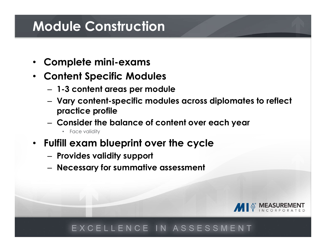# Module Construction

- Complete mini-exams
- Content Specific Modules
	- 1-3 content areas per module
	- Vary content-specific modules across diplomates to reflect practice profile
	- Consider the balance of content over each year
		- Face validity
- Fulfill exam blueprint over the cycle
	- Provides validity support
	- Necessary for summative assessment

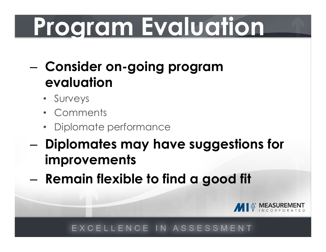# Program Evaluation

- Consider on-going program evaluation
	- Surveys
	- Comments
	- Diplomate performance
- Diplomates may have suggestions for improvements
- Remain flexible to find a good fit

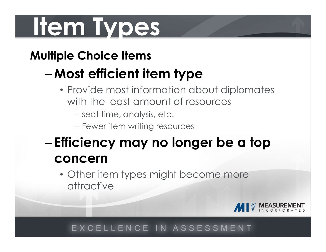# Item Types

# Multiple Choice Items

# –Most efficient item type

- Provide most information about diplomates with the least amount of resources
	- seat time, analysis, etc.
	- Fewer item writing resources

# – Efficiency may no longer be a top concern

• Other item types might become more attractive

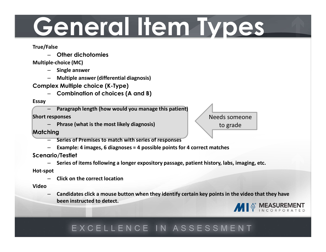# General Item Types

True/False

– Other dichotomies

### Multiple-choice (MC)

- Single answer
- Multiple answer (differential diagnosis)
- Complex Multiple choice (K-Type)
	- Combination of choices (A and B)

### Essay

– Paragraph length (how would you manage this patient)

### Short responses

– Phrase (what is the most likely diagnosis)

Needs someone to grade

### **Matching**

- Series of Premises to match with series of responses
- Example: 4 images, 6 diagnoses = 4 possible points for 4 correct matches

### Scenario/Testlet

– Series of items following a longer expository passage, patient history, labs, imaging, etc.

### Hot-spot

– Click on the correct location

### Video

– Candidates click a mouse button when they identify certain key points in the video that they have been instructed to detect.

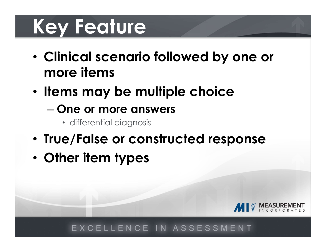# Key Feature

- Clinical scenario followed by one or more items
- Items may be multiple choice
	- One or more answers
		- differential diagnosis
- True/False or constructed response
- Other item types

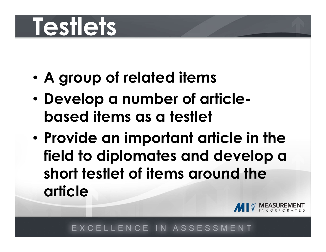# Testlets

- A group of related items
- Develop a number of articlebased items as a testlet
- Provide an important article in the field to diplomates and develop a A group of related items<br>Develop a number of article-<br>based items as a testlet<br>Provide an important article in the<br>field to diplomates and develop a<br>short testlet of items around the<br>article article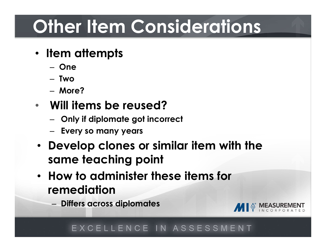# **Other Item Considerations**

- Item attempts
	- One
	- Two
	- More?

# • Will items be reused?

- Only if diplomate got incorrect
- Every so many years
- Develop clones or similar item with the same teaching point
- How to administer these items for remediation
	- Differs across diplomates

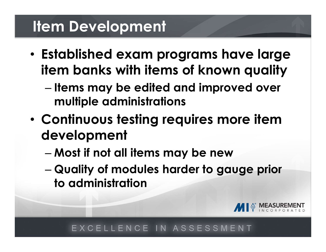# Item Development

- Established exam programs have large item banks with items of known quality
	- Items may be edited and improved over multiple administrations
- Continuous testing requires more item development
	- Most if not all items may be new
	- Quality of modules harder to gauge prior to administration

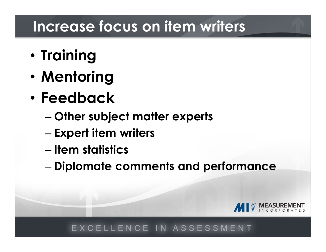# Increase focus on item writers

- Training
- Mentoring
- Feedback
	- Other subject matter experts
	- Expert item writers
	- Item statistics
	- Diplomate comments and performance

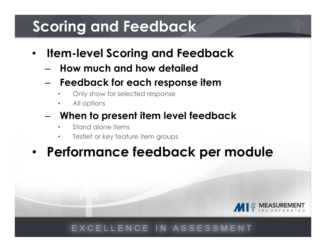# Scoring and Feedback

- Item-level Scoring and Feedback
	- How much and how detailed
	- Feedback for each response item
		- Only show for selected response
		- All options
	- When to present item level feedback
		- Stand alone items
		-

# em-level Scoring and Feedback<br>
How much and how detailed<br>
Feedback for each response item<br>
All options<br>
When to present item level feedback<br>
Stand alone items<br>
Testlet or key feature item groups<br>
Prformance feedback per r • Performance feedback per module

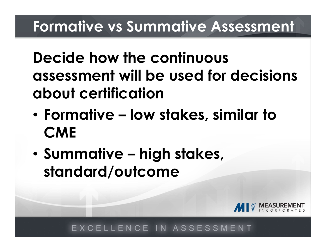Decide how the continuous assessment will be used for decisions about certification Formative vs Summative Assessment<br>Decide how the continuous<br>assessment will be used for decisions<br>about certification<br>• Formative – low stakes, similar to<br>CME Decide how the continuous<br>assessment will be used for decisie<br>about certification<br>• Formative – low stakes, similar to<br>• Summative – high stakes,<br>standard/outcome

- **CME**
- standard/outcome

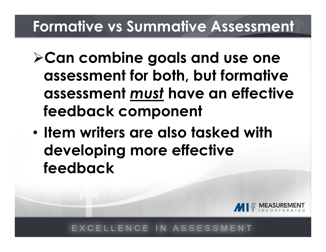# Formative vs Summative Assessment

- $\triangleright$  Can combine goals and use one assessment for both, but formative assessment must have an effective feedback component
- Item writers are also tasked with developing more effective feedback

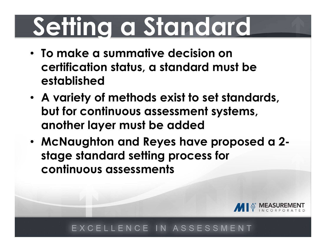# Setting a Standard

- To make a summative decision on certification status, a standard must be established
- A variety of methods exist to set standards, but for continuous assessment systems, another layer must be added
- McNaughton and Reyes have proposed a 2 stage standard setting process for continuous assessments

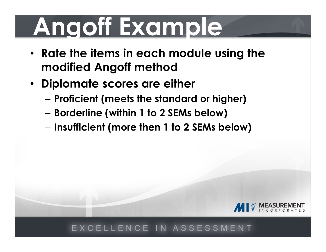# Angoff Example

- Rate the items in each module using the modified Angoff method
- Diplomate scores are either
	- Proficient (meets the standard or higher)
	- Borderline (within 1 to 2 SEMs below)
	- Insufficient (more then 1 to 2 SEMs below)

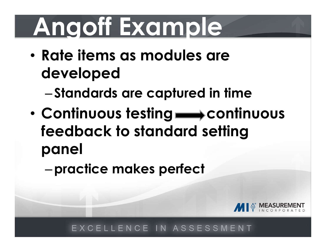# Angoff Example

• Rate items as modules are developed

– Standards are captured in time

- Continuous testing **state of the Continuous** feedback to standard setting panel
	- –practice makes perfect

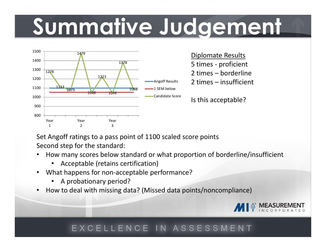# Summative Judgement Diplomate Results<br>
5 times - proficient<br>
2 times – borderline<br>
2 times – insufficient **Explorance Results<br>
2 times – proficient<br>
2 times – borderline<br>
2 times – insufficient<br>
1 sthis acceptable? EXECUTE 1999**<br>
Diplomate Results<br>
5 times – proficient<br>
2 times – borderline<br>
2 times – insufficient<br>
Is this acceptable?



Diplomate Results Angoff Results 2 times - insufficient

Is this acceptable?

Set Angoff ratings to a pass point of 1100 scaled score points Second step for the standard:

- How many scores below standard or what proportion of borderline/insufficient
	- Acceptable (retains certification)
- What happens for non-acceptable performance?
	- A probationary period?
- How to deal with missing data? (Missed data points/noncompliance)

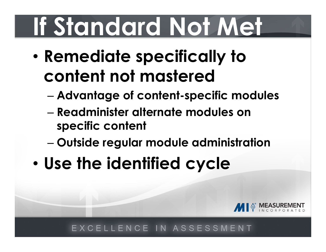# If Standard Not Met

- Remediate specifically to content not mastered Standard Not Met<br>Remediate specifically to<br>content not mastered<br>— Advantage of content-specific modules<br>— Readminister alternate modules on<br>specific content
	- Advantage of content-specific modules
	- specific content
	- Outside regular module administration
- Use the identified cycle

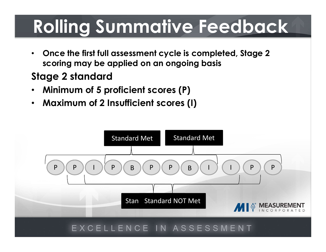# Rolling Summative Feedback

• Once the first full assessment cycle is completed, Stage 2 scoring may be applied on an ongoing basis

# Stage 2 standard

- Minimum of 5 proficient scores (P)
- Maximum of 2 Insufficient scores (I)

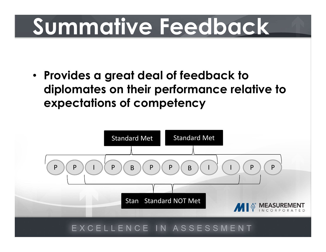# Summative Feedback

• Provides a great deal of feedback to diplomates on their performance relative to expectations of competency